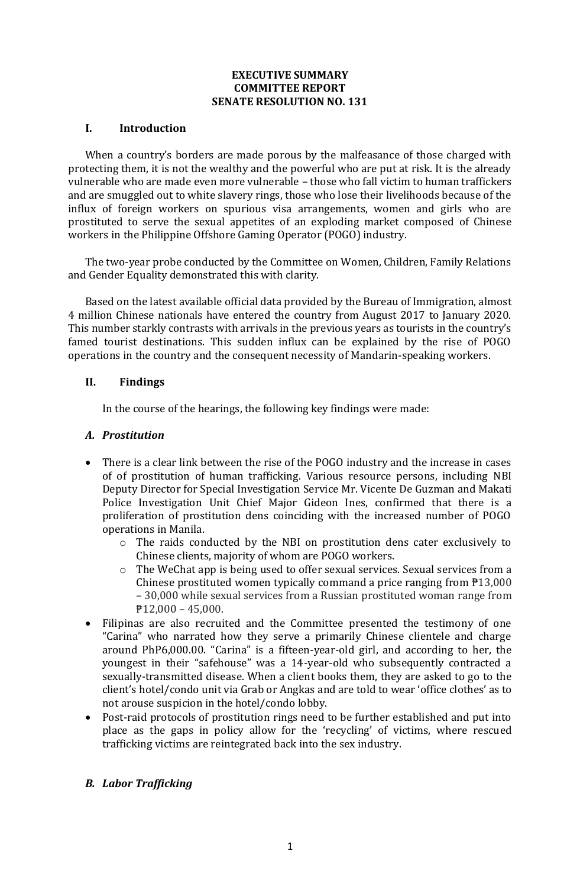#### **EXECUTIVE SUMMARY COMMITTEE REPORT SENATE RESOLUTION NO. 131**

### **I. Introduction**

When a country's borders are made porous by the malfeasance of those charged with protecting them, it is not the wealthy and the powerful who are put at risk. It is the already vulnerable who are made even more vulnerable – those who fall victim to human traffickers and are smuggled out to white slavery rings, those who lose their livelihoods because of the influx of foreign workers on spurious visa arrangements, women and girls who are prostituted to serve the sexual appetites of an exploding market composed of Chinese workers in the Philippine Offshore Gaming Operator (POGO) industry.

The two-year probe conducted by the Committee on Women, Children, Family Relations and Gender Equality demonstrated this with clarity.

Based on the latest available official data provided by the Bureau of Immigration, almost 4 million Chinese nationals have entered the country from August 2017 to January 2020. This number starkly contrasts with arrivals in the previous years as tourists in the country's famed tourist destinations. This sudden influx can be explained by the rise of POGO operations in the country and the consequent necessity of Mandarin-speaking workers.

### **II. Findings**

In the course of the hearings, the following key findings were made:

### *A. Prostitution*

- There is a clear link between the rise of the POGO industry and the increase in cases of of prostitution of human trafficking. Various resource persons, including NBI Deputy Director for Special Investigation Service Mr. Vicente De Guzman and Makati Police Investigation Unit Chief Major Gideon Ines, confirmed that there is a proliferation of prostitution dens coinciding with the increased number of POGO operations in Manila.
	- o The raids conducted by the NBI on prostitution dens cater exclusively to Chinese clients, majority of whom are POGO workers.
	- o The WeChat app is being used to offer sexual services. Sexual services from a Chinese prostituted women typically command a price ranging from  $P13,000$ – 30,000 while sexual services from a Russian prostituted woman range from  $P12,000 - 45,000.$
- Filipinas are also recruited and the Committee presented the testimony of one "Carina" who narrated how they serve a primarily Chinese clientele and charge around PhP6,000.00. "Carina" is a fifteen-year-old girl, and according to her, the youngest in their "safehouse" was a 14-year-old who subsequently contracted a sexually-transmitted disease. When a client books them, they are asked to go to the client's hotel/condo unit via Grab or Angkas and are told to wear 'office clothes' as to not arouse suspicion in the hotel/condo lobby.
- Post-raid protocols of prostitution rings need to be further established and put into place as the gaps in policy allow for the 'recycling' of victims, where rescued trafficking victims are reintegrated back into the sex industry.

## *B. Labor Trafficking*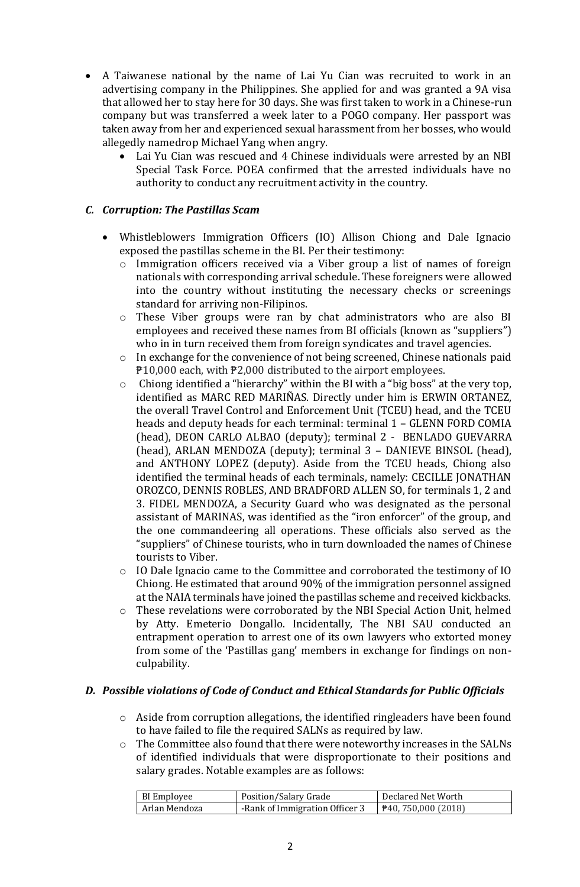- A Taiwanese national by the name of Lai Yu Cian was recruited to work in an advertising company in the Philippines. She applied for and was granted a 9A visa that allowed her to stay here for 30 days. She was first taken to work in a Chinese-run company but was transferred a week later to a POGO company. Her passport was taken away from her and experienced sexual harassment from her bosses, who would allegedly namedrop Michael Yang when angry.
	- Lai Yu Cian was rescued and 4 Chinese individuals were arrested by an NBI Special Task Force. POEA confirmed that the arrested individuals have no authority to conduct any recruitment activity in the country.

# *C. Corruption: The Pastillas Scam*

- Whistleblowers Immigration Officers (IO) Allison Chiong and Dale Ignacio exposed the pastillas scheme in the BI. Per their testimony:
	- o Immigration officers received via a Viber group a list of names of foreign nationals with corresponding arrival schedule. These foreigners were allowed into the country without instituting the necessary checks or screenings standard for arriving non-Filipinos.
	- o These Viber groups were ran by chat administrators who are also BI employees and received these names from BI officials (known as "suppliers") who in in turn received them from foreign syndicates and travel agencies.
	- o In exchange for the convenience of not being screened, Chinese nationals paid ₱10,000 each, with ₱2,000 distributed to the airport employees.
	- o Chiong identified a "hierarchy" within the BI with a "big boss" at the very top, identified as MARC RED MARIÑAS. Directly under him is ERWIN ORTANEZ, the overall Travel Control and Enforcement Unit (TCEU) head, and the TCEU heads and deputy heads for each terminal: terminal 1 – GLENN FORD COMIA (head), DEON CARLO ALBAO (deputy); terminal 2 - BENLADO GUEVARRA (head), ARLAN MENDOZA (deputy); terminal 3 – DANIEVE BINSOL (head), and ANTHONY LOPEZ (deputy). Aside from the TCEU heads, Chiong also identified the terminal heads of each terminals, namely: CECILLE JONATHAN OROZCO, DENNIS ROBLES, AND BRADFORD ALLEN SO, for terminals 1, 2 and 3. FIDEL MENDOZA, a Security Guard who was designated as the personal assistant of MARINAS, was identified as the "iron enforcer" of the group, and the one commandeering all operations. These officials also served as the "suppliers" of Chinese tourists, who in turn downloaded the names of Chinese tourists to Viber.
	- o IO Dale Ignacio came to the Committee and corroborated the testimony of IO Chiong. He estimated that around 90% of the immigration personnel assigned at the NAIA terminals have joined the pastillas scheme and received kickbacks.
	- o These revelations were corroborated by the NBI Special Action Unit, helmed by Atty. Emeterio Dongallo. Incidentally, The NBI SAU conducted an entrapment operation to arrest one of its own lawyers who extorted money from some of the 'Pastillas gang' members in exchange for findings on nonculpability.

## *D. Possible violations of Code of Conduct and Ethical Standards for Public Officials*

- o Aside from corruption allegations, the identified ringleaders have been found to have failed to file the required SALNs as required by law.
- $\circ$  The Committee also found that there were noteworthy increases in the SALNs of identified individuals that were disproportionate to their positions and salary grades. Notable examples are as follows:

| BI Employee   | Position/Salary Grade          | Declared Net Worth         |
|---------------|--------------------------------|----------------------------|
| Arlan Mendoza | -Rank of Immigration Officer 3 | <b>₱40, 750,000 (2018)</b> |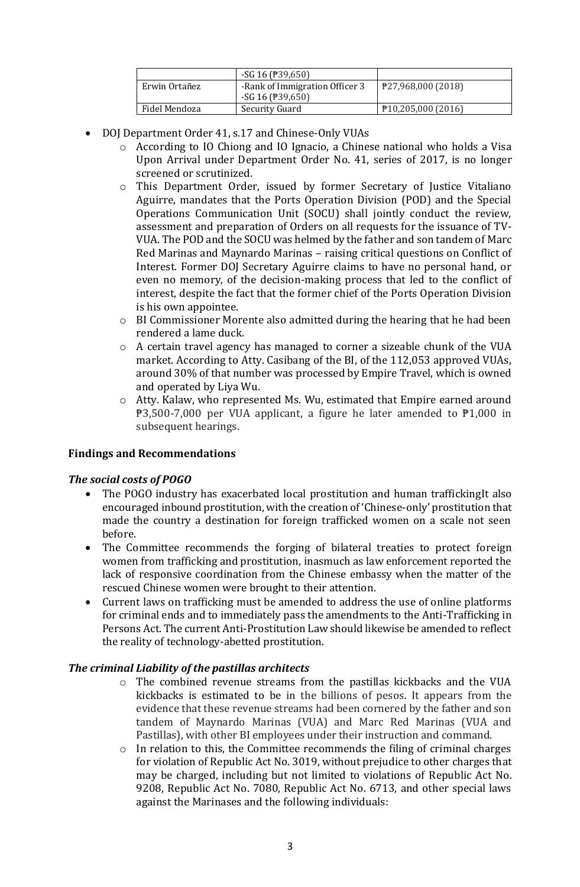|               | $-SG$ 16 ( $\overline{P}$ 39,650) |                    |
|---------------|-----------------------------------|--------------------|
| Erwin Ortañez | -Rank of Immigration Officer 3    | ₱27,968,000 (2018) |
|               | $-SG$ 16 ( $\overline{P}$ 39,650) |                    |
| Fidel Mendoza | Security Guard                    | P10,205,000(2016)  |

- DOJ Department Order 41, s.17 and Chinese-Only VUAs
	- o According to IO Chiong and IO Ignacio, a Chinese national who holds a Visa Upon Arrival under Department Order No. 41, series of 2017, is no longer screened or scrutinized.
	- o This Department Order, issued by former Secretary of Justice Vitaliano Aguirre, mandates that the Ports Operation Division (POD) and the Special Operations Communication Unit (SOCU) shall jointly conduct the review, assessment and preparation of Orders on all requests for the issuance of TV-VUA. The POD and the SOCU was helmed by the father and son tandem of Marc Red Marinas and Maynardo Marinas – raising critical questions on Conflict of Interest. Former DOJ Secretary Aguirre claims to have no personal hand, or even no memory, of the decision-making process that led to the conflict of interest, despite the fact that the former chief of the Ports Operation Division is his own appointee.
	- $\circ$  BI Commissioner Morente also admitted during the hearing that he had been rendered a lame duck.
	- o A certain travel agency has managed to corner a sizeable chunk of the VUA market. According to Atty. Casibang of the BI, of the 112,053 approved VUAs, around 30% of that number was processed by Empire Travel, which is owned and operated by Liya Wu.
	- o Atty. Kalaw, who represented Ms. Wu, estimated that Empire earned around  $\overline{P}3,500-7,000$  per VUA applicant, a figure he later amended to  $\overline{P}1,000$  in subsequent hearings.

## **Findings and Recommendations**

## *The social costs of POGO*

- The POGO industry has exacerbated local prostitution and human traffickingIt also encouraged inbound prostitution, with the creation of 'Chinese-only' prostitution that made the country a destination for foreign trafficked women on a scale not seen before.
- The Committee recommends the forging of bilateral treaties to protect foreign women from trafficking and prostitution, inasmuch as law enforcement reported the lack of responsive coordination from the Chinese embassy when the matter of the rescued Chinese women were brought to their attention.
- Current laws on trafficking must be amended to address the use of online platforms for criminal ends and to immediately pass the amendments to the Anti-Trafficking in Persons Act. The current Anti-Prostitution Law should likewise be amended to reflect the reality of technology-abetted prostitution.

## *The criminal Liability of the pastillas architects*

- o The combined revenue streams from the pastillas kickbacks and the VUA kickbacks is estimated to be in the billions of pesos. It appears from the evidence that these revenue streams had been cornered by the father and son tandem of Maynardo Marinas (VUA) and Marc Red Marinas (VUA and Pastillas), with other BI employees under their instruction and command.
- o In relation to this, the Committee recommends the filing of criminal charges for violation of Republic Act No. 3019, without prejudice to other charges that may be charged, including but not limited to violations of Republic Act No. 9208, Republic Act No. 7080, Republic Act No. 6713, and other special laws against the Marinases and the following individuals: